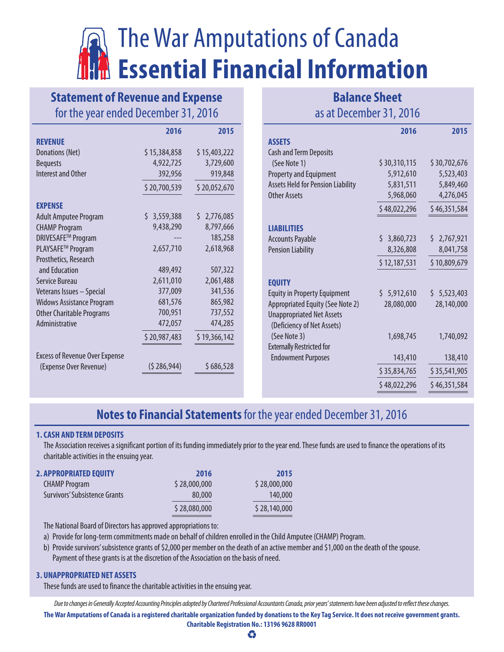# The War Amputations of Canada **Essential Financial Information**

## **Statement of Revenue and Expense** for the year ended December 31, 2016

|                                       | 2016         | 2015         |
|---------------------------------------|--------------|--------------|
| <b>REVENUE</b>                        |              |              |
| Donations (Net)                       | \$15,384,858 | \$15,403,222 |
| <b>Bequests</b>                       | 4,922,725    | 3,729,600    |
| <b>Interest and Other</b>             | 392,956      | 919,848      |
|                                       | \$20,700,539 | \$20,052,670 |
| <b>EXPENSE</b>                        |              |              |
| <b>Adult Amputee Program</b>          | \$3,559,388  | \$2,776,085  |
| <b>CHAMP Program</b>                  | 9,438,290    | 8,797,666    |
| DRIVESAFE™ Program                    |              | 185,258      |
| PLAYSAFE™ Program                     | 2,657,710    | 2,618,968    |
| Prosthetics, Research                 |              |              |
| and Education                         | 489,492      | 507,322      |
| Service Bureau                        | 2,611,010    | 2,061,488    |
| Veterans Issues - Special             | 377,009      | 341,536      |
| <b>Widows Assistance Program</b>      | 681,576      | 865,982      |
| <b>Other Charitable Programs</b>      | 700,951      | 737,552      |
| Administrative                        | 472,057      | 474,285      |
|                                       | \$20,987,483 | \$19,366,142 |
| <b>Excess of Revenue Over Expense</b> |              |              |
| (Expense Over Revenue)                | (5286,944)   | \$686,528    |

### **Balance Sheet** as at December 31, 2016

|                                                                | 2016            | 2015         |
|----------------------------------------------------------------|-----------------|--------------|
| <b>ASSETS</b>                                                  |                 |              |
| <b>Cash and Term Deposits</b>                                  |                 |              |
| (See Note 1)                                                   | \$30,310,115    | \$30,702,676 |
| <b>Property and Equipment</b>                                  | 5,912,610       | 5,523,403    |
| <b>Assets Held for Pension Liability</b>                       | 5,831,511       | 5,849,460    |
| Other Assets                                                   | 5,968,060       | 4,276,045    |
|                                                                | \$48,022,296    | \$46,351,584 |
| <b>LIABILITIES</b>                                             |                 |              |
| <b>Accounts Payable</b>                                        | 3,860,723<br>Ś. | \$2,767,921  |
| <b>Pension Liability</b>                                       | 8,326,808       | 8,041,758    |
|                                                                | \$12,187,531    | \$10,809,679 |
| <b>EQUITY</b>                                                  |                 |              |
| <b>Equity in Property Equipment</b>                            | \$5,912,610     | \$5,523,403  |
| Appropriated Equity (See Note 2)                               | 28,080,000      | 28,140,000   |
| <b>Unappropriated Net Assets</b><br>(Deficiency of Net Assets) |                 |              |
| (See Note 3)                                                   | 1,698,745       | 1,740,092    |
| <b>Externally Restricted for</b>                               |                 |              |
| <b>Endowment Purposes</b>                                      | 143,410         | 138,410      |
|                                                                | \$35,834,765    | \$35,541,905 |
|                                                                | \$48,022,296    | \$46,351,584 |
|                                                                |                 |              |

## **Notes to Financial Statements** for the year ended December 31, 2016

#### **1.CASH AND TERM DEPOSITS**

The Association receives a significant portion of its funding immediately prior to the year end. These funds are used to finance the operations of its charitable activities in the ensuing year.

| <b>2. APPROPRIATED EQUITY</b> | 2016         | 2015         |
|-------------------------------|--------------|--------------|
| <b>CHAMP Program</b>          | \$28,000,000 | \$28,000,000 |
| Survivors' Subsistence Grants | 80,000       | 140,000      |
|                               | \$28,080,000 | \$28,140,000 |

The National Board of Directors has approved appropriations to:

a) Provide for long-term commitments made on behalf of children enrolled in the Child Amputee (CHAMP) Program.

b) Provide survivors' subsistence grants of \$2,000 per member on the death of an active member and \$1,000 on the death of the spouse. Payment of these grants is at the discretion of the Association on the basis of need.

#### **3. UNAPPROPRIATED NET ASSETS**

These funds are used to finance the charitable activities in the ensuing year.

*Due to changes in Generally Accepted Accounting Principles adopted by Chartered Professional Accountants Canada, prior years' statements have been adjusted to reflect these changes.*

**The War Amputations of Canada is a registered charitable organization funded by donations to the Key Tag Service. It does not receive government grants. Charitable Registration No.: 13196 9628 RR0001**